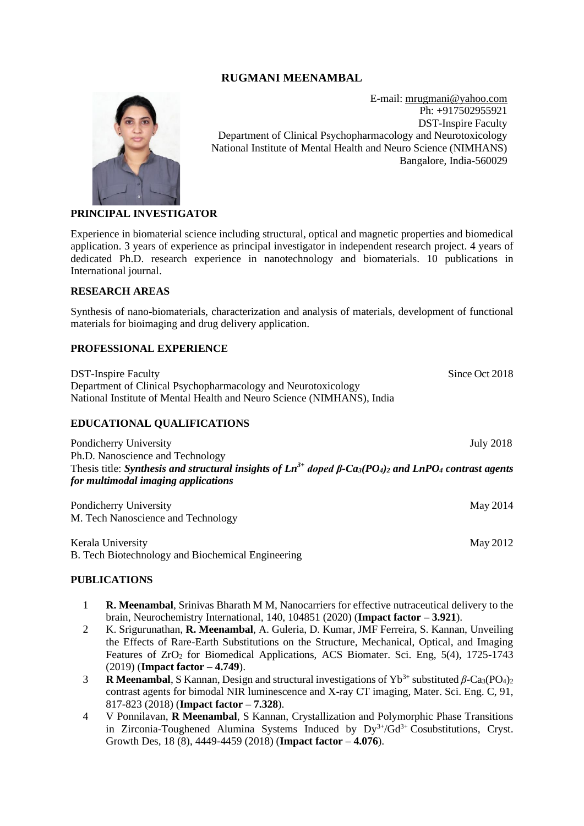## **RUGMANI MEENAMBAL**



E-mail: [mrugmani@yahoo.com](mailto:mrugmani@yahoo.com) Ph: +917502955921 DST-Inspire Faculty Department of Clinical Psychopharmacology and Neurotoxicology National Institute of Mental Health and Neuro Science (NIMHANS) Bangalore, India-560029

#### **PRINCIPAL INVESTIGATOR**

Experience in biomaterial science including structural, optical and magnetic properties and biomedical application. 3 years of experience as principal investigator in independent research project. 4 years of dedicated Ph.D. research experience in nanotechnology and biomaterials. 10 publications in International journal.

#### **RESEARCH AREAS**

Synthesis of nano-biomaterials, characterization and analysis of materials, development of functional materials for bioimaging and drug delivery application.

#### **PROFESSIONAL EXPERIENCE**

**DST-Inspire Faculty** Since Oct 2018 Department of Clinical Psychopharmacology and Neurotoxicology National Institute of Mental Health and Neuro Science (NIMHANS), India

#### **EDUCATIONAL QUALIFICATIONS**

Pondicherry University July 2018 Ph.D. Nanoscience and Technology Thesis title: *Synthesis and structural insights of Ln3+ doped β-Ca3(PO4)<sup>2</sup> and LnPO<sup>4</sup> contrast agents for multimodal imaging applications*

Pondicherry University May 2014 M. Tech Nanoscience and Technology

Kerala University May 2012 B. Tech Biotechnology and Biochemical Engineering

#### **PUBLICATIONS**

- 1 **R. Meenambal**, Srinivas Bharath M M, Nanocarriers for effective nutraceutical delivery to the brain, Neurochemistry International, 140, 104851 (2020) (**Impact factor – 3.921**).
- 2 K. Srigurunathan, **R. Meenambal**, A. Guleria, D. Kumar, JMF Ferreira, S. Kannan, Unveiling the Effects of Rare-Earth Substitutions on the Structure, Mechanical, Optical, and Imaging Features of  $ZrO<sub>2</sub>$  for Biomedical Applications, ACS Biomater. Sci. Eng, 5(4), 1725-1743 (2019) (**Impact factor – 4.749**).
- **R Meenambal,** S Kannan, Design and structural investigations of  $Yb^{3+}$  substituted  $\beta$ -Ca<sub>3</sub>(PO<sub>4</sub>)<sub>2</sub> contrast agents for bimodal NIR luminescence and X-ray CT imaging, Mater. Sci. Eng. C, 91, 817-823 (2018) (**Impact factor – 7.328**).
- 4 V Ponnilavan, **R Meenambal**, S Kannan, [Crystallization and Polymorphic Phase Transitions](javascript:void(0))  in Zirconia-Toughened Alumina Systems Induced by  $Dy^{3+}/Gd^{3+}$  Cosubstitutions, Cryst. Growth Des, 18 (8), 4449-4459 (2018) (**Impact factor – 4.076**).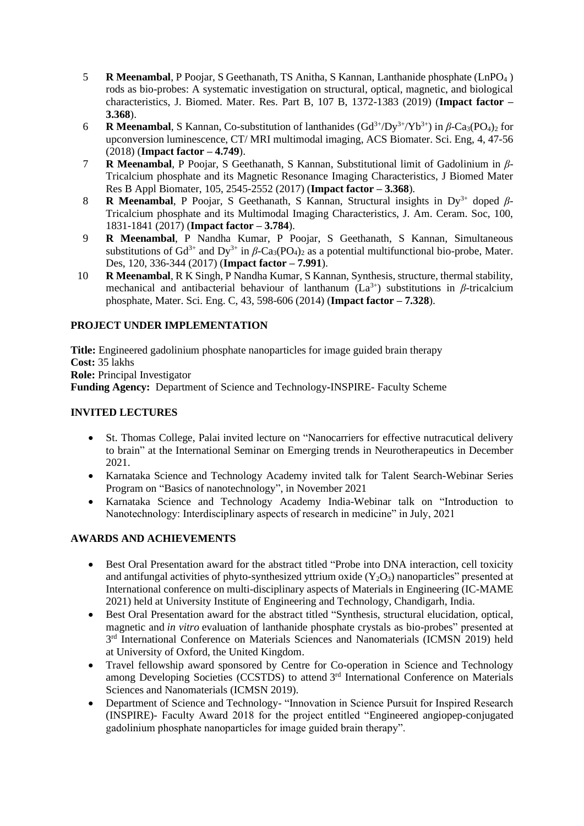- 5 **R Meenambal**, P Poojar, S Geethanath, TS Anitha, S Kannan, Lanthanide phosphate (LnPO<sup>4</sup> ) rods as bio-probes: A systematic investigation on structural, optical, magnetic, and biological characteristics, J. Biomed. Mater. Res. Part B, 107 B, 1372-1383 (2019) (**Impact factor – 3.368**).
- 6 **R Meenambal**, S Kannan, Co-substitution of lanthanides (Gd<sup>3+</sup>/Dy<sup>3+</sup>/Yb<sup>3+</sup>) in β-Ca<sub>3</sub>(PO<sub>4</sub>)<sub>2</sub> for upconversion luminescence, CT/ MRI multimodal imaging, ACS Biomater. Sci. Eng, 4, 47-56 (2018) (**Impact factor – 4.749**).
- 7 **R Meenambal**, P Poojar, S Geethanath, S Kannan, Substitutional limit of Gadolinium in *β*-Tricalcium phosphate and its Magnetic Resonance Imaging Characteristics, J Biomed Mater Res B Appl Biomater, 105, 2545-2552 (2017) (**Impact factor – 3.368**).
- 8 **R Meenambal**, P Poojar, S Geethanath, S Kannan, Structural insights in Dy3+ doped *β*-Tricalcium phosphate and its Multimodal Imaging Characteristics, J. Am. Ceram. Soc, 100, 1831-1841 (2017) (**Impact factor – 3.784**).
- 9 **R Meenambal**, P Nandha Kumar, P Poojar, S Geethanath, S Kannan, Simultaneous substitutions of Gd<sup>3+</sup> and Dy<sup>3+</sup> in  $\beta$ -Ca<sub>3</sub>(PO<sub>4</sub>)<sub>2</sub> as a potential multifunctional bio-probe, Mater. Des, 120, 336-344 (2017) (**Impact factor – 7.991**).
- 10 **R Meenambal**, R K Singh, P Nandha Kumar, S Kannan, Synthesis, structure, thermal stability, mechanical and antibacterial behaviour of lanthanum  $(La^{3+})$  substitutions in *β*-tricalcium phosphate, Mater. Sci. Eng. C, 43, 598-606 (2014) (**Impact factor – 7.328**).

## **PROJECT UNDER IMPLEMENTATION**

**Title:** Engineered gadolinium phosphate nanoparticles for image guided brain therapy **Cost:** 35 lakhs **Role:** Principal Investigator **Funding Agency:** Department of Science and Technology**-**INSPIRE- Faculty Scheme

## **INVITED LECTURES**

- St. Thomas College, Palai invited lecture on "Nanocarriers for effective nutracutical delivery to brain" at the International Seminar on Emerging trends in Neurotherapeutics in December 2021.
- Karnataka Science and Technology Academy invited talk for Talent Search-Webinar Series Program on "Basics of nanotechnology", in November 2021
- Karnataka Science and Technology Academy India-Webinar talk on "Introduction to Nanotechnology: Interdisciplinary aspects of research in medicine" in July, 2021

# **AWARDS AND ACHIEVEMENTS**

- Best Oral Presentation award for the abstract titled "Probe into DNA interaction, cell toxicity and antifungal activities of phyto-synthesized yttrium oxide  $(Y_2O_3)$  nanoparticles" presented at International conference on multi-disciplinary aspects of Materials in Engineering (IC-MAME 2021) held at University Institute of Engineering and Technology, Chandigarh, India.
- Best Oral Presentation award for the abstract titled "Synthesis, structural elucidation, optical, magnetic and *in vitro* evaluation of lanthanide phosphate crystals as bio-probes" presented at 3<sup>rd</sup> International Conference on Materials Sciences and Nanomaterials (ICMSN 2019) held at University of Oxford, the United Kingdom.
- Travel fellowship award sponsored by Centre for Co-operation in Science and Technology among Developing Societies (CCSTDS) to attend 3<sup>rd</sup> International Conference on Materials Sciences and Nanomaterials (ICMSN 2019).
- Department of Science and Technology- "Innovation in Science Pursuit for Inspired Research (INSPIRE)- Faculty Award 2018 for the project entitled "Engineered angiopep-conjugated gadolinium phosphate nanoparticles for image guided brain therapy".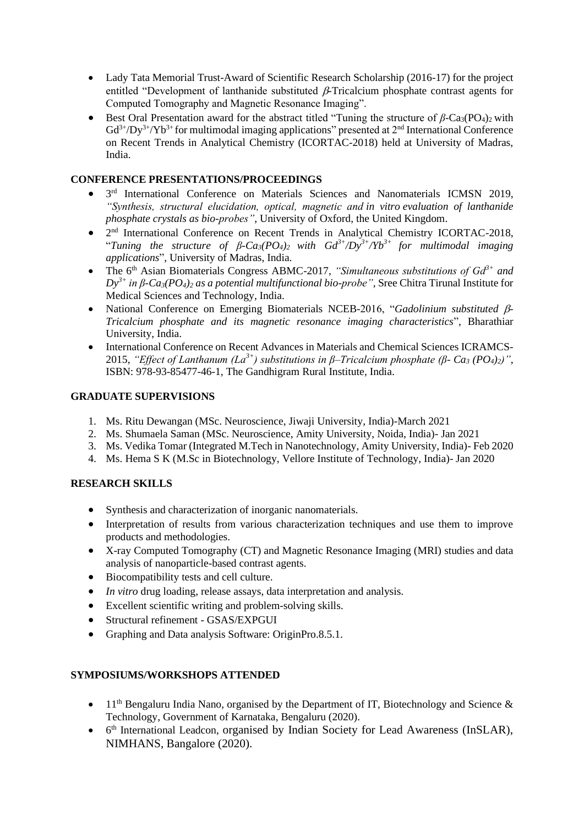- Lady Tata Memorial Trust-Award of Scientific Research Scholarship (2016-17) for the project entitled "Development of lanthanide substituted  $\beta$ -Tricalcium phosphate contrast agents for Computed Tomography and Magnetic Resonance Imaging".
- Best Oral Presentation award for the abstract titled "Tuning the structure of  $\beta$ -Ca<sub>3</sub>(PO<sub>4</sub>)<sub>2</sub> with  $Gd^{3+}/Dy^{3+}/Yb^{3+}$  for multimodal imaging applications" presented at  $2<sup>nd</sup>$  International Conference on Recent Trends in Analytical Chemistry (ICORTAC-2018) held at University of Madras, India.

### **CONFERENCE PRESENTATIONS/PROCEEDINGS**

- $\bullet$ 3<sup>rd</sup> International Conference on Materials Sciences and Nanomaterials ICMSN 2019, *"Synthesis, structural elucidation, optical, magnetic and in vitro evaluation of lanthanide phosphate crystals as bio-probes"*, University of Oxford, the United Kingdom.
- $\bullet$  $2<sup>nd</sup>$  International Conference on Recent Trends in Analytical Chemistry ICORTAC-2018, "*Tuning the structure of β-Ca<sub>3</sub></sub>* $(PO_4)$ *<sub>2</sub> with*  $Gd^{3+}/Dy^{3+}/Yb^{3+}$  *for multimodal imaging applications*", University of Madras, India.
- The 6<sup>th</sup> Asian Biomaterials Congress ABMC-2017, "Simultaneous substitutions of Gd<sup>3+</sup> and *Dy3+ in β-Ca3(PO4)<sup>2</sup> as a potential multifunctional bio-probe"*, Sree Chitra Tirunal Institute for Medical Sciences and Technology, India.
- National Conference on Emerging Biomaterials NCEB-2016, "Gadolinium substituted  $\beta$ -*Tricalcium phosphate and its magnetic resonance imaging characteristics*", Bharathiar University, India.
- International Conference on Recent Advances in Materials and Chemical Sciences ICRAMCS-2015, *"Effect of Lanthanum (La3+) substitutions in β–Tricalcium phosphate (β- Ca<sup>3</sup> (PO4)2)"*, ISBN: 978-93-85477-46-1, The Gandhigram Rural Institute, India.

## **GRADUATE SUPERVISIONS**

- 1. Ms. Ritu Dewangan (MSc. Neuroscience, Jiwaji University, India)-March 2021
- 2. Ms. Shumaela Saman (MSc. Neuroscience, Amity University, Noida, India)- Jan 2021
- 3. Ms. Vedika Tomar (Integrated M.Tech in Nanotechnology, Amity University, India)- Feb 2020
- 4. Ms. Hema S K (M.Sc in Biotechnology, Vellore Institute of Technology, India)- Jan 2020

# **RESEARCH SKILLS**

- Synthesis and characterization of inorganic nanomaterials.
- Interpretation of results from various characterization techniques and use them to improve products and methodologies.
- X-ray Computed Tomography (CT) and Magnetic Resonance Imaging (MRI) studies and data analysis of nanoparticle-based contrast agents.
- Biocompatibility tests and cell culture.
- *In vitro* drug loading, release assays, data interpretation and analysis.
- Excellent scientific writing and problem-solving skills.
- Structural refinement GSAS/EXPGUI
- Graphing and Data analysis Software: OriginPro.8.5.1.

### **SYMPOSIUMS/WORKSHOPS ATTENDED**

- 11<sup>th</sup> Bengaluru India Nano, organised by the Department of IT, Biotechnology and Science  $\&$ Technology, Government of Karnataka, Bengaluru (2020).
- 6<sup>th</sup> International Leadcon, organised by Indian Society for Lead Awareness (InSLAR), NIMHANS, Bangalore (2020).